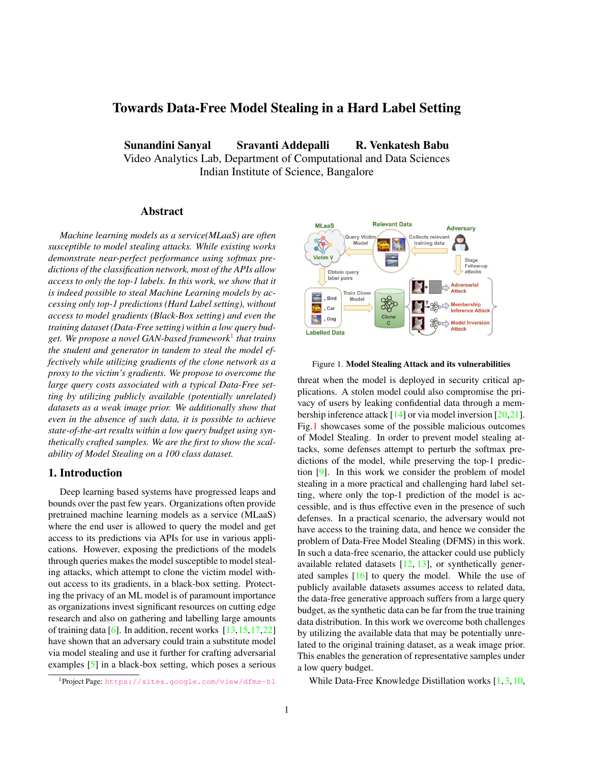# <span id="page-0-2"></span>Towards Data-Free Model Stealing in a Hard Label Setting

Sunandini Sanyal Sravanti Addepalli R. Venkatesh Babu

Video Analytics Lab, Department of Computational and Data Sciences Indian Institute of Science, Bangalore

## Abstract

*Machine learning models as a service(MLaaS) are often susceptible to model stealing attacks. While existing works demonstrate near-perfect performance using softmax predictions of the classification network, most of the APIs allow access to only the top-1 labels. In this work, we show that it is indeed possible to steal Machine Learning models by accessing only top-1 predictions (Hard Label setting), without access to model gradients (Black-Box setting) and even the training dataset (Data-Free setting) within a low query budget. We propose a novel GAN-based framework*[1](#page-0-0) *that trains the student and generator in tandem to steal the model effectively while utilizing gradients of the clone network as a proxy to the victim's gradients. We propose to overcome the large query costs associated with a typical Data-Free setting by utilizing publicly available (potentially unrelated) datasets as a weak image prior. We additionally show that even in the absence of such data, it is possible to achieve state-of-the-art results within a low query budget using synthetically crafted samples. We are the first to show the scalability of Model Stealing on a 100 class dataset.*

### 1. Introduction

Deep learning based systems have progressed leaps and bounds over the past few years. Organizations often provide pretrained machine learning models as a service (MLaaS) where the end user is allowed to query the model and get access to its predictions via APIs for use in various applications. However, exposing the predictions of the models through queries makes the model susceptible to model stealing attacks, which attempt to clone the victim model without access to its gradients, in a black-box setting. Protecting the privacy of an ML model is of paramount importance as organizations invest significant resources on cutting edge research and also on gathering and labelling large amounts of training data [\[6\]](#page-3-0). In addition, recent works [\[13](#page-3-1)[,15,](#page-3-2)[17,](#page-3-3)[22\]](#page-3-4) have shown that an adversary could train a substitute model via model stealing and use it further for crafting adversarial examples [\[5\]](#page-3-5) in a black-box setting, which poses a serious

<span id="page-0-0"></span>

<span id="page-0-1"></span>

Figure 1. Model Stealing Attack and its vulnerabilities

threat when the model is deployed in security critical applications. A stolen model could also compromise the privacy of users by leaking confidential data through a membership inference attack  $[14]$  or via model inversion  $[20,21]$  $[20,21]$ . Fig[.1](#page-0-1) showcases some of the possible malicious outcomes of Model Stealing. In order to prevent model stealing attacks, some defenses attempt to perturb the softmax predictions of the model, while preserving the top-1 prediction [\[9\]](#page-3-9). In this work we consider the problem of model stealing in a more practical and challenging hard label setting, where only the top-1 prediction of the model is accessible, and is thus effective even in the presence of such defenses. In a practical scenario, the adversary would not have access to the training data, and hence we consider the problem of Data-Free Model Stealing (DFMS) in this work. In such a data-free scenario, the attacker could use publicly available related datasets  $[12, 13]$  $[12, 13]$  $[12, 13]$ , or synthetically generated samples [\[16\]](#page-3-11) to query the model. While the use of publicly available datasets assumes access to related data, the data-free generative approach suffers from a large query budget, as the synthetic data can be far from the true training data distribution. In this work we overcome both challenges by utilizing the available data that may be potentially unrelated to the original training dataset, as a weak image prior. This enables the generation of representative samples under a low query budget.

While Data-Free Knowledge Distillation works [\[1,](#page-3-12) [3,](#page-3-13) [10,](#page-3-14)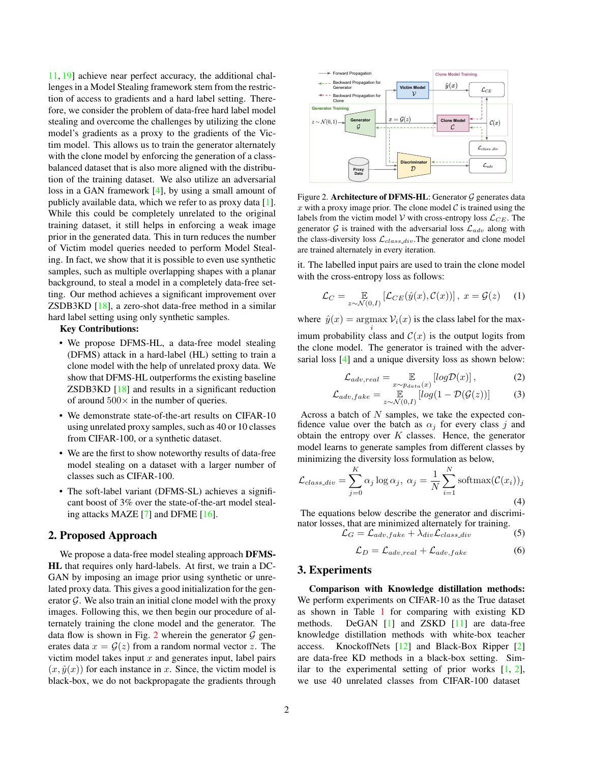<span id="page-1-1"></span>[11,](#page-3-15) [19\]](#page-3-16) achieve near perfect accuracy, the additional challenges in a Model Stealing framework stem from the restriction of access to gradients and a hard label setting. Therefore, we consider the problem of data-free hard label model stealing and overcome the challenges by utilizing the clone model's gradients as a proxy to the gradients of the Victim model. This allows us to train the generator alternately with the clone model by enforcing the generation of a classbalanced dataset that is also more aligned with the distribution of the training dataset. We also utilize an adversarial loss in a GAN framework [\[4\]](#page-3-17), by using a small amount of publicly available data, which we refer to as proxy data [\[1\]](#page-3-12). While this could be completely unrelated to the original training dataset, it still helps in enforcing a weak image prior in the generated data. This in turn reduces the number of Victim model queries needed to perform Model Stealing. In fact, we show that it is possible to even use synthetic samples, such as multiple overlapping shapes with a planar background, to steal a model in a completely data-free setting. Our method achieves a significant improvement over ZSDB3KD [\[18\]](#page-3-18), a zero-shot data-free method in a similar hard label setting using only synthetic samples.

#### Key Contributions:

- We propose DFMS-HL, a data-free model stealing (DFMS) attack in a hard-label (HL) setting to train a clone model with the help of unrelated proxy data. We show that DFMS-HL outperforms the existing baseline ZSDB3KD [\[18\]](#page-3-18) and results in a significant reduction of around  $500 \times$  in the number of queries.
- We demonstrate state-of-the-art results on CIFAR-10 using unrelated proxy samples, such as 40 or 10 classes from CIFAR-100, or a synthetic dataset.
- We are the first to show noteworthy results of data-free model stealing on a dataset with a larger number of classes such as CIFAR-100.
- The soft-label variant (DFMS-SL) achieves a significant boost of 3% over the state-of-the-art model stealing attacks MAZE [\[7\]](#page-3-19) and DFME [\[16\]](#page-3-11).

#### 2. Proposed Approach

We propose a data-free model stealing approach DFMS-HL that requires only hard-labels. At first, we train a DC-GAN by imposing an image prior using synthetic or unrelated proxy data. This gives a good initialization for the generator  $\mathcal G$ . We also train an initial clone model with the proxy images. Following this, we then begin our procedure of alternately training the clone model and the generator. The data flow is shown in Fig. [2](#page-1-0) wherein the generator  $G$  generates data  $x = \mathcal{G}(z)$  from a random normal vector z. The victim model takes input  $x$  and generates input, label pairs  $(x, \hat{y}(x))$  for each instance in x. Since, the victim model is black-box, we do not backpropagate the gradients through

<span id="page-1-0"></span>

Figure 2. Architecture of DFMS-HL: Generator  $G$  generates data x with a proxy image prior. The clone model  $\mathcal C$  is trained using the labels from the victim model  $V$  with cross-entropy loss  $\mathcal{L}_{CE}$ . The generator  $G$  is trained with the adversarial loss  $\mathcal{L}_{adv}$  along with the class-diversity loss  $\mathcal{L}_{class\_div}$ . The generator and clone model are trained alternately in every iteration.

it. The labelled input pairs are used to train the clone model with the cross-entropy loss as follows:

$$
\mathcal{L}_C = \mathop{\mathbb{E}}_{z \sim \mathcal{N}(0,I)} \left[ \mathcal{L}_{CE}(\hat{y}(x), \mathcal{C}(x)) \right], \ x = \mathcal{G}(z) \tag{1}
$$

where  $\hat{y}(x) = \text{argmax } \mathcal{V}_i(x)$  is the class label for the maxi imum probability class and  $\mathcal{C}(x)$  is the output logits from the clone model. The generator is trained with the adversarial loss [\[4\]](#page-3-17) and a unique diversity loss as shown below:

$$
\mathcal{L}_{adv,real} = \mathop{\mathbb{E}}_{x \sim p_{data}(x)} [log \mathcal{D}(x)],\tag{2}
$$

$$
\mathcal{L}_{adv, fake} = \mathop{\mathbb{E}}_{z \sim \mathcal{N}(0, I)} [log(1 - \mathcal{D}(\mathcal{G}(z))]
$$
 (3)

Across a batch of  $N$  samples, we take the expected confidence value over the batch as  $\alpha_j$  for every class j and obtain the entropy over  $K$  classes. Hence, the generator model learns to generate samples from different classes by minimizing the diversity loss formulation as below,

$$
\mathcal{L}_{class,div} = \sum_{j=0}^{K} \alpha_j \log \alpha_j, \ \alpha_j = \frac{1}{N} \sum_{i=1}^{N} \operatorname{softmax}(\mathcal{C}(x_i))_j
$$
\n(4)

The equations below describe the generator and discriminator losses, that are minimized alternately for training.<br> $\mathcal{L}C = \mathcal{L}_{adv}$  fake  $\pm \lambda_{dis} \mathcal{L}_{class}$  div

$$
\mathcal{L}_G = \mathcal{L}_{adv, fake} + \lambda_{div} \mathcal{L}_{class\_div} \tag{5}
$$

$$
\mathcal{L}_D = \mathcal{L}_{adv, real} + \mathcal{L}_{adv, fake} \tag{6}
$$

#### 3. Experiments

Comparison with Knowledge distillation methods: We perform experiments on CIFAR-10 as the True dataset as shown in Table [1](#page-2-0) for comparing with existing KD methods. DeGAN [\[1\]](#page-3-12) and ZSKD [\[11\]](#page-3-15) are data-free knowledge distillation methods with white-box teacher access. KnockoffNets [\[12\]](#page-3-10) and Black-Box Ripper [\[2\]](#page-3-20) are data-free KD methods in a black-box setting. Similar to the experimental setting of prior works  $[1, 2]$  $[1, 2]$  $[1, 2]$ , we use 40 unrelated classes from CIFAR-100 dataset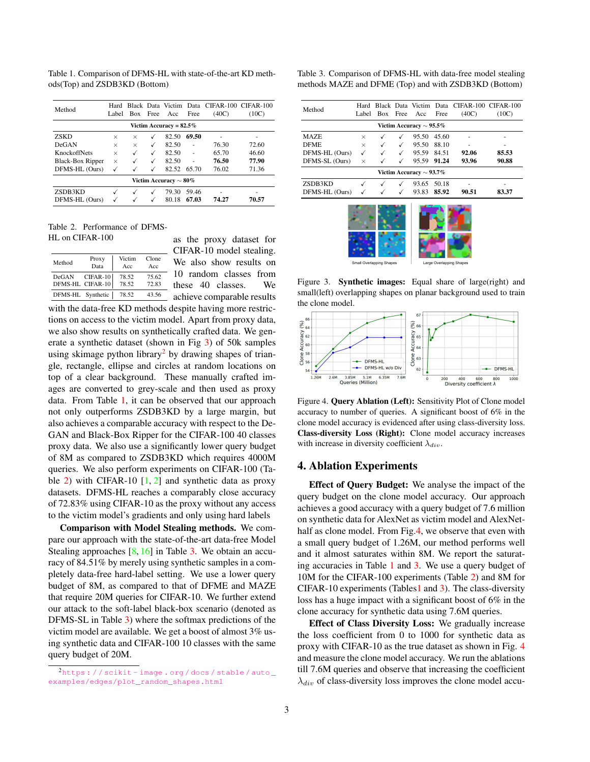<span id="page-2-6"></span><span id="page-2-0"></span>Table 1. Comparison of DFMS-HL with state-of-the-art KD methods(Top) and ZSDB3KD (Bottom)

| Method                      | Hard<br>Label | <b>Box</b>   | Free | Acc   | Free  | Black Data Victim Data CIFAR-100 CIFAR-100<br>(40C) | (10C) |  |
|-----------------------------|---------------|--------------|------|-------|-------|-----------------------------------------------------|-------|--|
| Victim Accuracy = $82.5\%$  |               |              |      |       |       |                                                     |       |  |
| <b>ZSKD</b>                 | $\times$      | $\times$     |      | 82.50 | 69.50 |                                                     |       |  |
| DeGAN                       | $\times$      | $\times$     | ✓    | 82.50 |       | 76.30                                               | 72.60 |  |
| <b>KnockoffNets</b>         | $\times$      | ✓            | ✓    | 82.50 |       | 65.70                                               | 46.60 |  |
| Black-Box Ripper            | $\times$      | $\checkmark$ | √    | 82.50 |       | 76.50                                               | 77.90 |  |
| DFMS-HL (Ours)              | $\checkmark$  |              |      | 82.52 | 65.70 | 76.02                                               | 71.36 |  |
| Victim Accuracy $\sim 80\%$ |               |              |      |       |       |                                                     |       |  |
| ZSDB3KD                     |               |              |      | 79.30 | 59.46 | ۰                                                   | ۰     |  |
| DFMS-HL (Ours)              |               |              |      | 80.18 | 67.03 | 74.27                                               | 70.57 |  |

<span id="page-2-3"></span>Table 2. Performance of DFMS-HL on CIFAR-100

| Method            | Proxy            | Victim | Clone |
|-------------------|------------------|--------|-------|
|                   | Data             | Acc    | Acc   |
| DeGAN             | CIFAR-10         | 78.52  | 75.62 |
|                   | DFMS-HL CIFAR-10 | 78.52  | 72.83 |
| DFMS-HL Synthetic |                  | 78.52  | 43.56 |

as the proxy dataset for CIFAR-10 model stealing. We also show results on 10 random classes from these 40 classes. We

achieve comparable results with the data-free KD methods despite having more restrictions on access to the victim model. Apart from proxy data, we also show results on synthetically crafted data. We generate a synthetic dataset (shown in Fig [3\)](#page-2-1) of 50k samples using skimage python library<sup>[2](#page-2-2)</sup> by drawing shapes of triangle, rectangle, ellipse and circles at random locations on top of a clear background. These manually crafted images are converted to grey-scale and then used as proxy data. From Table [1,](#page-2-0) it can be observed that our approach not only outperforms ZSDB3KD by a large margin, but also achieves a comparable accuracy with respect to the De-GAN and Black-Box Ripper for the CIFAR-100 40 classes proxy data. We also use a significantly lower query budget of 8M as compared to ZSDB3KD which requires 4000M queries. We also perform experiments on CIFAR-100 (Ta-ble [2\)](#page-2-3) with CIFAR-10  $[1, 2]$  $[1, 2]$  $[1, 2]$  and synthetic data as proxy datasets. DFMS-HL reaches a comparably close accuracy of 72.83% using CIFAR-10 as the proxy without any access to the victim model's gradients and only using hard labels

Comparison with Model Stealing methods. We compare our approach with the state-of-the-art data-free Model Stealing approaches  $[8, 16]$  $[8, 16]$  $[8, 16]$  in Table [3.](#page-2-4) We obtain an accuracy of 84.51% by merely using synthetic samples in a completely data-free hard-label setting. We use a lower query budget of 8M, as compared to that of DFME and MAZE that require 20M queries for CIFAR-10. We further extend our attack to the soft-label black-box scenario (denoted as DFMS-SL in Table [3\)](#page-2-4) where the softmax predictions of the victim model are available. We get a boost of almost 3% using synthetic data and CIFAR-100 10 classes with the same query budget of 20M.

<span id="page-2-4"></span>Table 3. Comparison of DFMS-HL with data-free model stealing methods MAZE and DFME (Top) and with ZSDB3KD (Bottom)

| Method                       | Hard     |            |      |       |       | Black Data Victim Data CIFAR-100 CIFAR-100 |       |  |  |
|------------------------------|----------|------------|------|-------|-------|--------------------------------------------|-------|--|--|
|                              | Label    | <b>Box</b> | Free | Acc   | Free  | (40C)                                      | (10C) |  |  |
| Victim Accuracy $\sim$ 95.5% |          |            |      |       |       |                                            |       |  |  |
| <b>MAZE</b>                  | $\times$ |            | √    | 95.50 | 45.60 |                                            | ۰     |  |  |
| <b>DFME</b>                  | $\times$ |            | √    | 95.50 | 88.10 |                                            |       |  |  |
| DFMS-HL (Ours)               | ✓        |            | ✓    | 95.59 | 84.51 | 92.06                                      | 85.53 |  |  |
| DFMS-SL (Ours)               | $\times$ |            |      | 95.59 | 91.24 | 93.96                                      | 90.88 |  |  |
| Victim Accuracy $\sim$ 93.7% |          |            |      |       |       |                                            |       |  |  |
| ZSDB3KD                      |          |            |      | 93.65 | 50.18 |                                            | ۰     |  |  |
| DFMS-HL (Ours)               |          |            |      | 93.83 | 85.92 | 90.51                                      | 83.37 |  |  |

<span id="page-2-1"></span>

Figure 3. **Synthetic images:** Equal share of large(right) and small(left) overlapping shapes on planar background used to train the clone model.

<span id="page-2-5"></span>

Figure 4. Query Ablation (Left): Sensitivity Plot of Clone model accuracy to number of queries. A significant boost of 6% in the clone model accuracy is evidenced after using class-diversity loss. Class-diversity Loss (Right): Clone model accuracy increases with increase in diversity coefficient  $\lambda_{div}$ .

#### 4. Ablation Experiments

Effect of Query Budget: We analyse the impact of the query budget on the clone model accuracy. Our approach achieves a good accuracy with a query budget of 7.6 million on synthetic data for AlexNet as victim model and AlexNethalf as clone model. From Fig[.4,](#page-2-5) we observe that even with a small query budget of 1.26M, our method performs well and it almost saturates within 8M. We report the saturating accuracies in Table [1](#page-2-0) and [3.](#page-2-4) We use a query budget of 10M for the CIFAR-100 experiments (Table [2\)](#page-2-3) and 8M for CIFAR-10 experiments (Table[s1](#page-2-0) and [3\)](#page-2-4). The class-diversity loss has a huge impact with a significant boost of 6% in the clone accuracy for synthetic data using 7.6M queries.

Effect of Class Diversity Loss: We gradually increase the loss coefficient from 0 to 1000 for synthetic data as proxy with CIFAR-10 as the true dataset as shown in Fig. [4](#page-2-5) and measure the clone model accuracy. We run the ablations till 7.6M queries and observe that increasing the coefficient  $\lambda_{div}$  of class-diversity loss improves the clone model accu-

<span id="page-2-2"></span><sup>2</sup>[https : / / scikit - image . org / docs / stable / auto \\_](https://scikit-image.org/docs/stable/auto_examples/edges/plot_random_shapes.html) [examples/edges/plot\\_random\\_shapes.html](https://scikit-image.org/docs/stable/auto_examples/edges/plot_random_shapes.html)